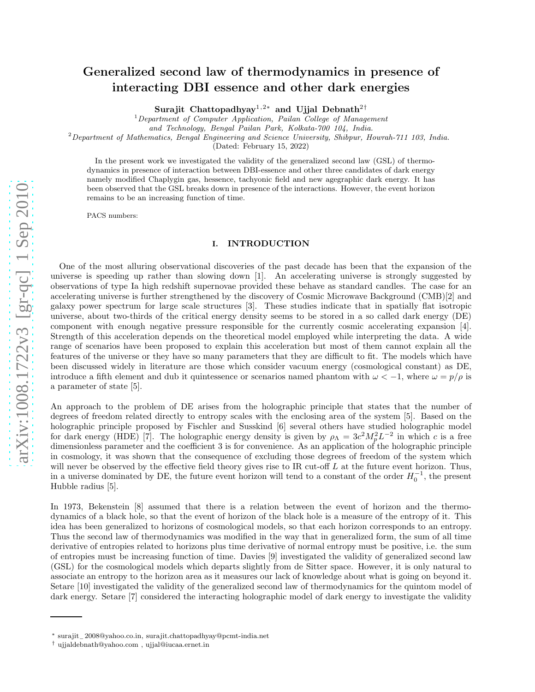# Generalized second law of thermodynamics in presence of interacting DBI essence and other dark energies

Surajit Chattopadhyay $^{1,2*}$  and Ujjal Debnath $^{2\dagger}$ 

 $1$ Department of Computer Application, Pailan College of Management

and Technology, Bengal Pailan Park, Kolkata-700 104, India .

<sup>2</sup>Department of Mathematics, Bengal Engineering and Science University, Shibpur, Howrah-711 103, India.

(Dated: February 15, 2022)

In the present work we investigated the validity of the generalized second law (GSL) of thermodynamics in presence of interaction between DBI-essence and other three candidates of dark energy namely modified Chaplygin gas, hessence, tachyonic field and new agegraphic dark energy. It has been observed that the GSL breaks down in presence of the interactions. However, the event horizon remains to be an increasing function of time.

PACS numbers:

## I. INTRODUCTION

One of the most alluring observational discoveries of the past decade has been that the expansion of the universe is speeding up rather than slowing down [1]. An accelerating universe is strongly suggested by observations of type Ia high redshift supernovae provided these behave as standard candles. The case for an accelerating universe is further strengthened by the discovery of Cosmic Microwave Background (CMB)[2] and galaxy power spectrum for large scale structures [3]. These studies indicate that in spatially flat isotropic universe, about two-thirds of the critical energy density seems to be stored in a so called dark energy (DE) component with enough negative pressure responsible for the currently cosmic accelerating expansion [4]. Strength of this acceleration depends on the theoretical model employed while interpreting the data. A wide range of scenarios have been proposed to explain this acceleration but most of them cannot explain all the features of the universe or they have so many parameters that they are difficult to fit. The models which have been discussed widely in literature are those which consider vacuum energy (cosmological constant) as DE, introduce a fifth element and dub it quintessence or scenarios named phantom with  $\omega < -1$ , where  $\omega = p/\rho$  is a parameter of state [5].

An approach to the problem of DE arises from the holographic principle that states that the number of degrees of freedom related directly to entropy scales with the enclosing area of the system [5]. Based on the holographic principle proposed by Fischler and Susskind [6] several others have studied holographic model for dark energy (HDE) [7]. The holographic energy density is given by  $\rho_{\Lambda} = 3c^2 M_p^2 L^{-2}$  in which c is a free dimensionless parameter and the coefficient 3 is for convenience. As an application of the holographic principle in cosmology, it was shown that the consequence of excluding those degrees of freedom of the system which will never be observed by the effective field theory gives rise to IR cut-off  $L$  at the future event horizon. Thus, in a universe dominated by DE, the future event horizon will tend to a constant of the order  $H_0^{-1}$ , the present Hubble radius [5].

In 1973, Bekenstein [8] assumed that there is a relation between the event of horizon and the thermodynamics of a black hole, so that the event of horizon of the black hole is a measure of the entropy of it. This idea has been generalized to horizons of cosmological models, so that each horizon corresponds to an entropy. Thus the second law of thermodynamics was modified in the way that in generalized form, the sum of all time derivative of entropies related to horizons plus time derivative of normal entropy must be positive, i.e. the sum of entropies must be increasing function of time. Davies [9] investigated the validity of generalized second law (GSL) for the cosmological models which departs slightly from de Sitter space. However, it is only natural to associate an entropy to the horizon area as it measures our lack of knowledge about what is going on beyond it. Setare [10] investigated the validity of the generalized second law of thermodynamics for the quintom model of dark energy. Setare [7] considered the interacting holographic model of dark energy to investigate the validity

<sup>∗</sup> surajit<sup>−</sup> 2008@yahoo.co.in, surajit.chattopadhyay@pcmt-india.net

<sup>†</sup> ujjaldebnath@yahoo.com , ujjal@iucaa.ernet.in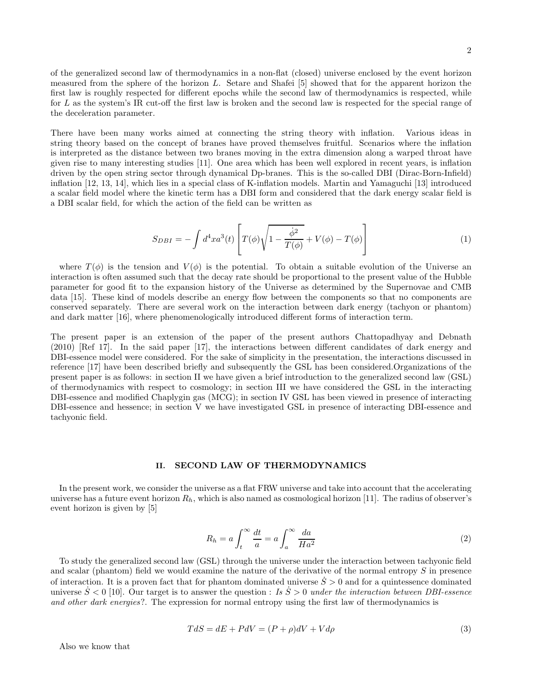of the generalized second law of thermodynamics in a non-flat (closed) universe enclosed by the event horizon measured from the sphere of the horizon L. Setare and Shafei [5] showed that for the apparent horizon the first law is roughly respected for different epochs while the second law of thermodynamics is respected, while for L as the system's IR cut-off the first law is broken and the second law is respected for the special range of the deceleration parameter.

There have been many works aimed at connecting the string theory with inflation. Various ideas in string theory based on the concept of branes have proved themselves fruitful. Scenarios where the inflation is interpreted as the distance between two branes moving in the extra dimension along a warped throat have given rise to many interesting studies [11]. One area which has been well explored in recent years, is inflation driven by the open string sector through dynamical Dp-branes. This is the so-called DBI (Dirac-Born-Infield) inflation [12, 13, 14], which lies in a special class of K-inflation models. Martin and Yamaguchi [13] introduced a scalar field model where the kinetic term has a DBI form and considered that the dark energy scalar field is a DBI scalar field, for which the action of the field can be written as

$$
S_{DBI} = -\int d^4x a^3(t) \left[ T(\phi) \sqrt{1 - \frac{\dot{\phi}^2}{T(\phi)}} + V(\phi) - T(\phi) \right]
$$
 (1)

where  $T(\phi)$  is the tension and  $V(\phi)$  is the potential. To obtain a suitable evolution of the Universe an interaction is often assumed such that the decay rate should be proportional to the present value of the Hubble parameter for good fit to the expansion history of the Universe as determined by the Supernovae and CMB data [15]. These kind of models describe an energy flow between the components so that no components are conserved separately. There are several work on the interaction between dark energy (tachyon or phantom) and dark matter [16], where phenomenologically introduced different forms of interaction term.

The present paper is an extension of the paper of the present authors Chattopadhyay and Debnath (2010) [Ref 17]. In the said paper [17], the interactions between different candidates of dark energy and DBI-essence model were considered. For the sake of simplicity in the presentation, the interactions discussed in reference [17] have been described briefly and subsequently the GSL has been considered.Organizations of the present paper is as follows: in section II we have given a brief introduction to the generalized second law (GSL) of thermodynamics with respect to cosmology; in section III we have considered the GSL in the interacting DBI-essence and modified Chaplygin gas (MCG); in section IV GSL has been viewed in presence of interacting DBI-essence and hessence; in section V we have investigated GSL in presence of interacting DBI-essence and tachyonic field.

#### II. SECOND LAW OF THERMODYNAMICS

In the present work, we consider the universe as a flat FRW universe and take into account that the accelerating universe has a future event horizon  $R_h$ , which is also named as cosmological horizon [11]. The radius of observer's event horizon is given by [5]

$$
R_h = a \int_t^{\infty} \frac{dt}{a} = a \int_a^{\infty} \frac{da}{Ha^2}
$$
 (2)

To study the generalized second law (GSL) through the universe under the interaction between tachyonic field and scalar (phantom) field we would examine the nature of the derivative of the normal entropy S in presence of interaction. It is a proven fact that for phantom dominated universe  $\dot{S} > 0$  and for a quintessence dominated universe  $S < 0$  [10]. Our target is to answer the question : Is  $S > 0$  under the interaction between DBI-essence and other dark energies?. The expression for normal entropy using the first law of thermodynamics is

$$
TdS = dE + PdV = (P + \rho)dV + Vd\rho
$$
\n<sup>(3)</sup>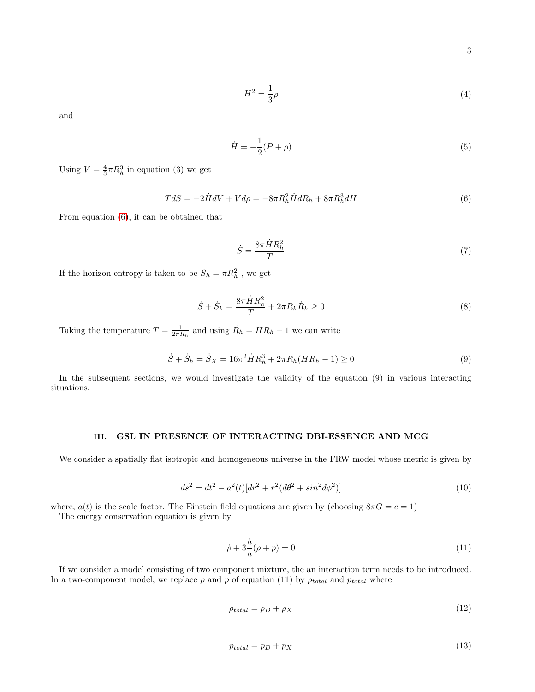3

$$
H^2 = \frac{1}{3}\rho \tag{4}
$$

and

$$
\dot{H} = -\frac{1}{2}(P+\rho) \tag{5}
$$

Using  $V = \frac{4}{3}\pi R_h^3$  in equation (3) we get

<span id="page-2-0"></span>
$$
TdS = -2\dot{H}dV + Vd\rho = -8\pi R_h^2 \dot{H}dR_h + 8\pi R_h^3 dH \tag{6}
$$

From equation [\(6\)](#page-2-0), it can be obtained that

$$
\dot{S} = \frac{8\pi \dot{H}R_h^2}{T} \tag{7}
$$

If the horizon entropy is taken to be  $S_h = \pi R_h^2$ , we get

$$
\dot{S} + \dot{S}_h = \frac{8\pi \dot{H} R_h^2}{T} + 2\pi R_h \dot{R}_h \ge 0
$$
\n(8)

Taking the temperature  $T = \frac{1}{2\pi R_h}$  and using  $\dot{R_h} = HR_h - 1$  we can write

$$
\dot{S} + \dot{S}_h = \dot{S}_X = 16\pi^2 \dot{H} R_h^3 + 2\pi R_h (H R_h - 1) \ge 0
$$
\n(9)

In the subsequent sections, we would investigate the validity of the equation (9) in various interacting situations.

## III. GSL IN PRESENCE OF INTERACTING DBI-ESSENCE AND MCG

We consider a spatially flat isotropic and homogeneous universe in the FRW model whose metric is given by

$$
ds^{2} = dt^{2} - a^{2}(t)[dr^{2} + r^{2}(d\theta^{2} + sin^{2}d\phi^{2})]
$$
\n(10)

where,  $a(t)$  is the scale factor. The Einstein field equations are given by (choosing  $8\pi G = c = 1$ )

The energy conservation equation is given by

$$
\dot{\rho} + 3\frac{\dot{a}}{a}(\rho + p) = 0\tag{11}
$$

If we consider a model consisting of two component mixture, the an interaction term needs to be introduced. In a two-component model, we replace  $\rho$  and  $p$  of equation (11) by  $\rho_{total}$  and  $p_{total}$  where

$$
\rho_{total} = \rho_D + \rho_X \tag{12}
$$

$$
p_{total} = p_D + p_X \tag{13}
$$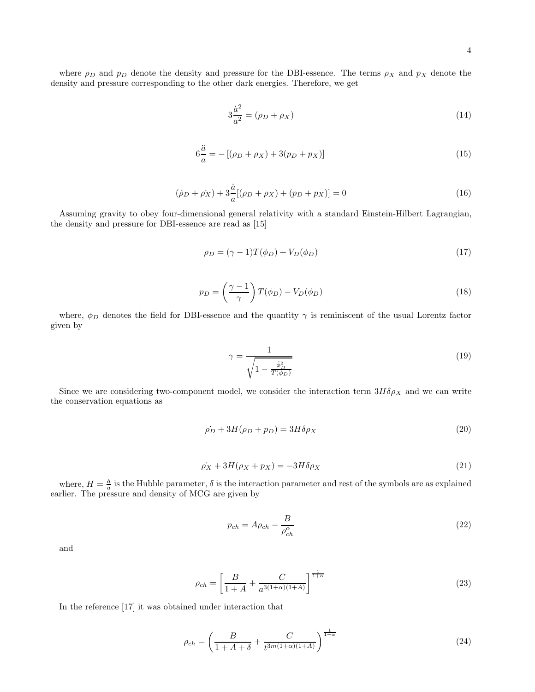where  $\rho_D$  and  $p_D$  denote the density and pressure for the DBI-essence. The terms  $\rho_X$  and  $p_X$  denote the density and pressure corresponding to the other dark energies. Therefore, we get

$$
3\frac{\dot{a}^2}{a^2} = (\rho_D + \rho_X) \tag{14}
$$

$$
6\frac{\ddot{a}}{a} = -[(\rho_D + \rho_X) + 3(p_D + p_X)]
$$
\n(15)

$$
(\dot{\rho}_D + \dot{\rho}_X) + 3\frac{\dot{a}}{a}[(\rho_D + \rho_X) + (p_D + p_X)] = 0
$$
\n(16)

Assuming gravity to obey four-dimensional general relativity with a standard Einstein-Hilbert Lagrangian, the density and pressure for DBI-essence are read as [15]

$$
\rho_D = (\gamma - 1)T(\phi_D) + V_D(\phi_D) \tag{17}
$$

$$
p_D = \left(\frac{\gamma - 1}{\gamma}\right) T(\phi_D) - V_D(\phi_D) \tag{18}
$$

where,  $\phi_D$  denotes the field for DBI-essence and the quantity  $\gamma$  is reminiscent of the usual Lorentz factor given by

$$
\gamma = \frac{1}{\sqrt{1 - \frac{\dot{\phi}_D^2}{T(\phi_D)}}}
$$
(19)

Since we are considering two-component model, we consider the interaction term  $3H\delta\rho_X$  and we can write the conservation equations as

$$
\dot{\rho_D} + 3H(\rho_D + p_D) = 3H\delta\rho_X \tag{20}
$$

$$
\dot{\rho_X} + 3H(\rho_X + p_X) = -3H\delta\rho_X\tag{21}
$$

where,  $H = \frac{\dot{a}}{a}$  is the Hubble parameter,  $\delta$  is the interaction parameter and rest of the symbols are as explained earlier. The pressure and density of MCG are given by

$$
p_{ch} = A\rho_{ch} - \frac{B}{\rho_{ch}^{\alpha}}
$$
\n
$$
\tag{22}
$$

and

$$
\rho_{ch} = \left[\frac{B}{1+A} + \frac{C}{a^{3(1+\alpha)(1+A)}}\right]^{\frac{1}{1+\alpha}}
$$
\n(23)

In the reference [17] it was obtained under interaction that

$$
\rho_{ch} = \left(\frac{B}{1 + A + \delta} + \frac{C}{t^{3m(1+\alpha)(1+A)}}\right)^{\frac{1}{1+\alpha}}
$$
\n(24)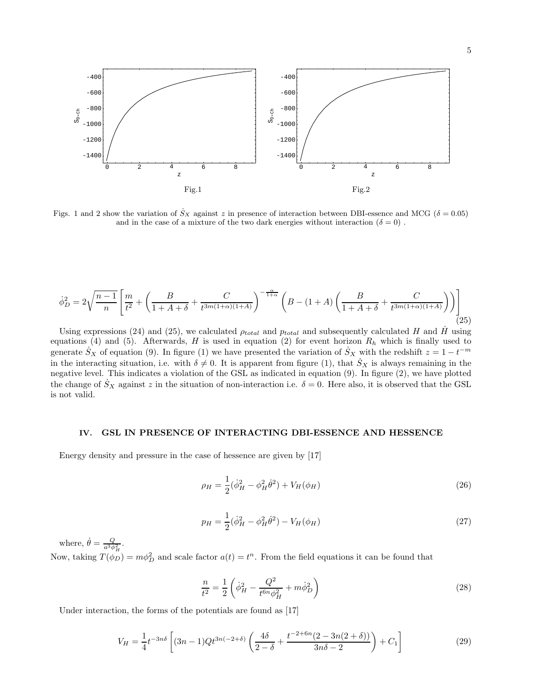

Figs. 1 and 2 show the variation of  $S_X$  against z in presence of interaction between DBI-essence and MCG ( $\delta = 0.05$ ) and in the case of a mixture of the two dark energies without interaction  $(\delta = 0)$ .

$$
\dot{\phi}_D^2 = 2\sqrt{\frac{n-1}{n}} \left[ \frac{m}{t^2} + \left( \frac{B}{1+A+\delta} + \frac{C}{t^{3m(1+\alpha)(1+A)}} \right)^{-\frac{\alpha}{1+\alpha}} \left( B - (1+A) \left( \frac{B}{1+A+\delta} + \frac{C}{t^{3m(1+\alpha)(1+A)}} \right) \right) \right]
$$
(25)

Using expressions (24) and (25), we calculated  $\rho_{total}$  and  $p_{total}$  and subsequently calculated H and H using equations (4) and (5). Afterwards, H is used in equation (2) for event horizon  $R_h$  which is finally used to generate  $S_X$  of equation (9). In figure (1) we have presented the variation of  $S_X$  with the redshift  $z = 1 - t^{-m}$ in the interacting situation, i.e. with  $\delta \neq 0$ . It is apparent from figure (1), that  $S_X$  is always remaining in the negative level. This indicates a violation of the GSL as indicated in equation (9). In figure (2), we have plotted the change of  $\dot{S}_X$  against z in the situation of non-interaction i.e.  $\delta = 0$ . Here also, it is observed that the GSL is not valid.

#### IV. GSL IN PRESENCE OF INTERACTING DBI-ESSENCE AND HESSENCE

Energy density and pressure in the case of hessence are given by [17]

$$
\rho_H = \frac{1}{2} (\dot{\phi}_H^2 - \phi_H^2 \dot{\theta}^2) + V_H(\phi_H)
$$
\n(26)

$$
p_H = \frac{1}{2}(\dot{\phi}_H^2 - \phi_H^2 \dot{\theta}^2) - V_H(\phi_H)
$$
\n(27)

where,  $\dot{\theta} = \frac{Q}{a^3 \phi_H^2}$ .

Now, taking  $T(\phi_D) = m\phi_D^2$  and scale factor  $a(t) = t^n$ . From the field equations it can be found that

$$
\frac{n}{t^2} = \frac{1}{2} \left( \dot{\phi}_H^2 - \frac{Q^2}{t^{6n} \phi_H^2} + m \dot{\phi}_D^2 \right)
$$
 (28)

Under interaction, the forms of the potentials are found as [17]

$$
V_H = \frac{1}{4} t^{-3n\delta} \left[ (3n-1)Qt^{3n(-2+\delta)} \left( \frac{4\delta}{2-\delta} + \frac{t^{-2+6n}(2-3n(2+\delta))}{3n\delta - 2} \right) + C_1 \right]
$$
(29)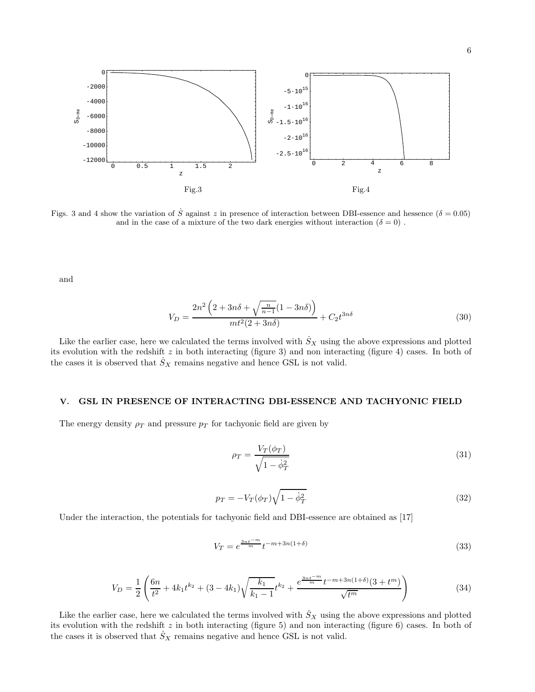

Figs. 3 and 4 show the variation of S against z in presence of interaction between DBI-essence and hessence ( $\delta = 0.05$ ) and in the case of a mixture of the two dark energies without interaction  $(\delta = 0)$ .

and

$$
V_D = \frac{2n^2 \left(2 + 3n\delta + \sqrt{\frac{n}{n-1}}(1 - 3n\delta)\right)}{mt^2(2 + 3n\delta)} + C_2 t^{3n\delta}
$$
(30)

Like the earlier case, here we calculated the terms involved with  $S_X$  using the above expressions and plotted its evolution with the redshift  $z$  in both interacting (figure 3) and non interacting (figure 4) cases. In both of the cases it is observed that  $S_X$  remains negative and hence GSL is not valid.

#### V. GSL IN PRESENCE OF INTERACTING DBI-ESSENCE AND TACHYONIC FIELD

The energy density  $\rho_T$  and pressure  $p_T$  for tachyonic field are given by

$$
\rho_T = \frac{V_T(\phi_T)}{\sqrt{1 - \dot{\phi}_T^2}}\tag{31}
$$

$$
p_T = -V_T(\phi_T)\sqrt{1-\dot{\phi}_T^2} \tag{32}
$$

Under the interaction, the potentials for tachyonic field and DBI-essence are obtained as [17]

$$
V_T = e^{\frac{3nt^{-m}}{m}} t^{-m+3n(1+\delta)}
$$
\n(33)

$$
V_D = \frac{1}{2} \left( \frac{6n}{t^2} + 4k_1 t^{k_2} + (3 - 4k_1) \sqrt{\frac{k_1}{k_1 - 1}} t^{k_2} + \frac{e^{\frac{3nt^{-m}}{m}} t^{-m + 3n(1+\delta)} (3 + t^m)}{\sqrt{t^m}} \right)
$$
(34)

Like the earlier case, here we calculated the terms involved with  $S_X$  using the above expressions and plotted its evolution with the redshift  $z$  in both interacting (figure 5) and non interacting (figure 6) cases. In both of the cases it is observed that  $\dot{S}_X$  remains negative and hence GSL is not valid.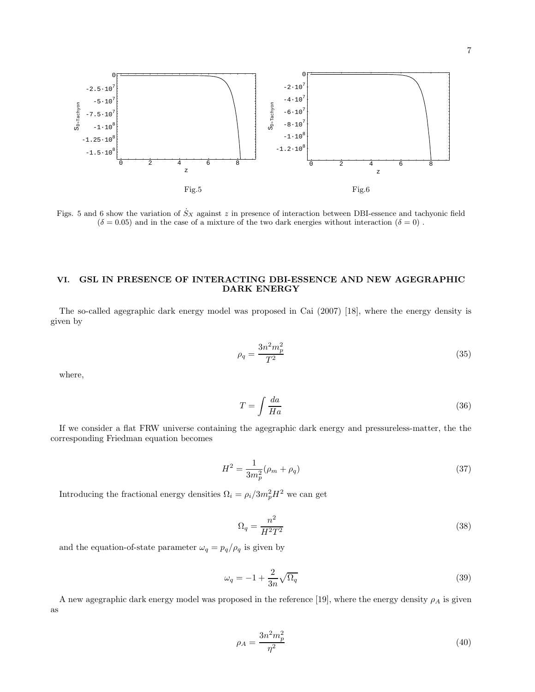

Figs. 5 and 6 show the variation of  $S_X$  against z in presence of interaction between DBI-essence and tachyonic field  $(\delta = 0.05)$  and in the case of a mixture of the two dark energies without interaction  $(\delta = 0)$ .

## VI. GSL IN PRESENCE OF INTERACTING DBI-ESSENCE AND NEW AGEGRAPHIC DARK ENERGY

The so-called agegraphic dark energy model was proposed in Cai (2007) [18], where the energy density is given by

$$
\rho_q = \frac{3n^2m_p^2}{T^2} \tag{35}
$$

where,

$$
T = \int \frac{da}{Ha} \tag{36}
$$

If we consider a flat FRW universe containing the agegraphic dark energy and pressureless-matter, the the corresponding Friedman equation becomes

$$
H^2 = \frac{1}{3m_p^2}(\rho_m + \rho_q) \tag{37}
$$

Introducing the fractional energy densities  $\Omega_i = \rho_i/3m_p^2H^2$  we can get

$$
\Omega_q = \frac{n^2}{H^2 T^2} \tag{38}
$$

and the equation-of-state parameter  $\omega_q=p_q/\rho_q$  is given by

$$
\omega_q = -1 + \frac{2}{3n} \sqrt{\Omega_q} \tag{39}
$$

A new agegraphic dark energy model was proposed in the reference [19], where the energy density  $\rho_A$  is given as

$$
\rho_A = \frac{3n^2m_p^2}{\eta^2} \tag{40}
$$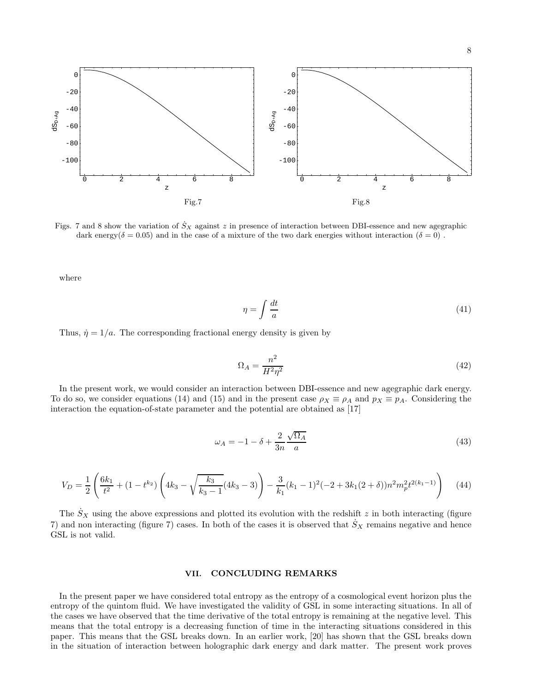8



Figs. 7 and 8 show the variation of  $S_X$  against z in presence of interaction between DBI-essence and new agegraphic dark energy( $\delta = 0.05$ ) and in the case of a mixture of the two dark energies without interaction ( $\delta = 0$ ).

where

$$
\eta = \int \frac{dt}{a} \tag{41}
$$

Thus,  $\dot{\eta} = 1/a$ . The corresponding fractional energy density is given by

$$
\Omega_A = \frac{n^2}{H^2 \eta^2} \tag{42}
$$

In the present work, we would consider an interaction between DBI-essence and new agegraphic dark energy. To do so, we consider equations (14) and (15) and in the present case  $\rho_X \equiv \rho_A$  and  $p_X \equiv p_A$ . Considering the interaction the equation-of-state parameter and the potential are obtained as [17]

$$
\omega_A = -1 - \delta + \frac{2}{3n} \frac{\sqrt{\Omega_A}}{a} \tag{43}
$$

$$
V_D = \frac{1}{2} \left( \frac{6k_1}{t^2} + (1 - t^{k_2}) \left( 4k_3 - \sqrt{\frac{k_3}{k_3 - 1}} (4k_3 - 3) \right) - \frac{3}{k_1} (k_1 - 1)^2 (-2 + 3k_1(2 + \delta)) n^2 m_p^2 t^{2(k_1 - 1)} \right) \tag{44}
$$

The  $S_X$  using the above expressions and plotted its evolution with the redshift z in both interacting (figure 7) and non interacting (figure 7) cases. In both of the cases it is observed that  $S_X$  remains negative and hence GSL is not valid.

#### VII. CONCLUDING REMARKS

In the present paper we have considered total entropy as the entropy of a cosmological event horizon plus the entropy of the quintom fluid. We have investigated the validity of GSL in some interacting situations. In all of the cases we have observed that the time derivative of the total entropy is remaining at the negative level. This means that the total entropy is a decreasing function of time in the interacting situations considered in this paper. This means that the GSL breaks down. In an earlier work, [20] has shown that the GSL breaks down in the situation of interaction between holographic dark energy and dark matter. The present work proves